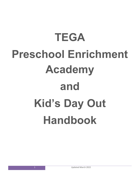# TEGA Preschool Enrichment Academy and Kid's Day Out Handbook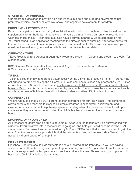# STATEMENT OF PURPOSE

Our program is designed to provide high quality care in a safe and nurturing environment that promotes physical, emotional, creative, social, and cognitive development for children.

# ENROLLMENT PROCEDURES

Prior to participation in our program, all registration information is completed online as well as the supplemental form. Students 18 months old – 5 years old must have a current shot record, and wellness check on file. 4 year olds must also have a current hearing & vision screening on file. You must schedule an application meeting with the director prior to enrolling. After enrolling we will take 48 business hours to review your application and enrollment. Once we have reviewed your enrollment we will send you a welcome letter with our available start date.

# OPERATION TIMES

TEGA Preschool: runs August through May. Hours are 9:00am – 12:00pm and 9:00am to 3:00pm for extended care.

KDO Summer Camp operates June, July, and August. Hours are from 8:30am to 6:00pm. early drop begins at 7:30am.

# TUITION

Tuition is billed monthly, and drafted automatically on the 25<sup>th</sup> of the preceding month. Parents may opt out of auto-draft by paying the full amount due at least one business day prior to the 25<sup>th</sup>. Tuition is calculated on a 36 week school year, which allows for a holiday break in December and a Spring break in March, and is divided into equal monthly payments. You will make the same payment each month regardless of holidays. We will not allow students to attend if tuition is not current.

# **CONFERENCES**

We are happy to schedule TEGA parent/teacher conference for our Pre-K class. This conference allows parents and teachers to discuss children's progress in schoolwork, achievement and classroom behavior that will help them prepare for kindergarten. If a parent would like to set up a conference, they are welcome to contact the child's teacher and center director during business hours.

# DROPPING OFF YOUR CHILD

All preschool students drop off time is at 9:00am. After 9:10 the teachers will be busy working with students. If you do arrive late, observe what is going on, and help your child become involved. All students must be present and accounted for by 9:15 am. TEGA feels that for each student to gain the most from the programs we provide it is vital that students arrive on time each day. We will not accept children dropped off at nap time.

# Pick Up Procedures:

Preschool – parents should sign students in and out located at the front desk. If you are having someone other than the designated parent / guardian on your child's registration form, the individual must be an approved contact person and provide a driver's license. Please do not pick up your child between 1:00-2:45 as it disrupts nap time.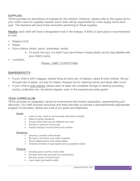# SUPPLIES

TEGA provides an abundance of supplies for the children. However, please refer to the supply list for your child's class for supplies needed. Each class will be responsible for a few supply items each year. The teachers will send home reminders pertaining to these supplies.

Hooks: each child will have a designated hook in the hallway. A BAG or back pack is recommended to hold:

- Diapers (3-5),
- **Wipes**
- Extra clothes (shirts, pants, underwear, socks)
	- To avoid mix-ups, it is best if you send these in large plastic zip-loc bag labeled with your child's name.
- Lunchbox.

## Please, LABEL EVERYTHING

## DIAPERS/POTTY:

- If your child is still in diapers, please bring an extra set: of diapers, wipes & extra clothes. We go through lots of wipes, not only for diaper changes but for cleaning hands and faces after lunch.
- **If your child is potty trained, please send at least one complete change of clothing (including** socks), preferably two. Accidents happen, even to the experienced potty-goers!

## TEGA CURRICULUM

TEGA provides an integrated, hands-on environment that fosters exploration, experimenting and discovery. Our staff chooses resources and texts that help us provide a developmentally appropriate program of education. Below are a list of our goals and objectives.

## Social

- Learn to play, work & communicate with peers & adults
- Adjust to group situations
- Accept others that may be different from self
- Develop a sense of community
- Accept change in environment and routines

#### Emotional

- Develop a positive self-concept
- Be free to risk failure and make mistakes
- Show independence and responsibility
- Channel emotions in appropriate and acceptable outlets

#### Physical

- Develop gross and fine motor skills
- Develop hand-eye and eye-foot coordination
- Become aware of his/her body
- Learn basic gymnastics skills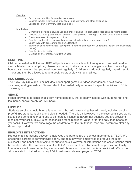## **Creative**

- Provide opportunities for creative expression
- Become familiar with the use of scissors, glue, crayons, and other art supplies
- **Expose children to rhythm, beat, and music**

#### **Intellectual**

- Continue to develop language use and understanding (ex. alphabet recognition and writing skills)
- Develop pre-reading and reading skills (ex. distinguish left from right, top from bottom, and phonics)
- Gain awareness of shapes and colors
- Develop number skills (ex. counting, use of calendars, time, and measurement)
- Enrich lives with appropriate children's literature
- Expand science concepts (ex. body parts, 5 senses, and observe, understand, collect and investigate nature)
- Develop listening skills
- Develop an ever-increasing attention span

## REST TIME

Children enrolled in TEGA and KDO will participate in a rest time following lunch. You will need to send a labeled nap mat, pillow, blanket, and a bag to store nap mat belongings in. Nap mats will go home daily. We ask that you wash your mat regularly. Children who do not regularly nap will rest for 1 hour and then be allowed to read a book, color, or play with a small toy.

## KDO CURRICULUM

The Kid's Day Out curriculum includes indoor sport games, outdoor sport games, arts & crafts, swimming and gymnastics. Please refer to the posted daily schedule for specific activities. KDO is June-August.

## **SNACK**

Please provide a personal snack from home sent daily that is clearly labeled with students first and last name, as well as AM or PM Snack.

## **LUNCHES**

Students enrolled should bring a labeled lunch box with everything they will need, including a spillproof drink, utensils, napkins, and bibs if needed. There is a microwave in the classroom if you would like to send something that needs to be heated. Please be aware that because you are providing meals for your child, TEGA is not responsible for its nutritional value, or for the daily food needs of your child. However, we encourage the children to eat their nutritional food first, before we offer any desserts provided.

## EMPLOYEE INTERACTIONS

Professional interactions between employees and parents are of upmost importance at TEGA. We encourage parents to communicate openly and regularly with employees to produce the most successful and beneficial outcome for our students. However, all interactions and conversations must be conducted on the premises or via the TEGA business phone. To protect the privacy and family time of our employees contacting via personal phones and or social media is prohibited. We do not allow our staff to babysit or nanny TEGA customers while employed at TEGA.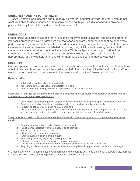# SUNSCREEN AND INSECT REPELLENT

TEGA will administer sunscreen and bug spray as weather and time of year requires. If you do not want your child to use sunscreen or bug spray please notify your child's teacher and provide a personal supply that will be used specifically for your child.

# DRESS CODE

Please dress your child in clothes that are suitable for gymnastics, playtime, and arts and crafts. If your child dresses in a skirt or dress we ask that shorts be worn underneath so that he or she may participate in all gymnastic activities. Each child must also bring a complete change of clothes, which includes socks and underwear in a labeled Ziploc bag daily. Child care licensing requires that students are offered outdoor play time twice a day. While we typically do not go outside if the temperature is above 100 degrees or below 40 degrees we ask that you dress your child appropriately for the weather. In fall and winter months, please send a labeled coat daily.

# DISCIPLINE

Our main goal is to develop children into individuals who are aware of their actions, how their actions affect others, and how the choices they make can help them resolve difficulties and conflicts. When we encounter situations that require us to intervene we will use the following procedures:

## Discipline will be:

- 1. Individualized and consistent for each child;
- 2. Appropriate to the child's level of understanding; and
- 3. Directed toward teaching the child acceptable behavior and self-control.

Caregivers will only use positive methods of discipline and guidance that encourage self esteem, self control, and selfdirection, which include at least the following:

- 1. Using praise and encouragement of good behavior instead of focusing only upon unacceptable behavior;
- 2. Reminding a child of behavior expectations daily by using clear, positive statements;
- 3. Redirecting behavior using positive statements; and
- 4. Using brief supervised separation or "cool down time" from the group, when appropriate for the child's age and development, which is limited to no more than one minute per year of the child's age.

There must be no harsh, cruel, or unusual treatment of any child. The following types of discipline and guidance are prohibited:

- 1. Corporal punishment or threats of corporal punishment;
- 2. Punishment associated with food, naps, or toilet training;
- 3. Pinching, shaking or biting a child;
- 4. Hitting a child with a hand or instrument;
- 5. Putting anything in or on a child's mouth;
- 6. Humiliating, ridiculing, rejecting or yelling at a child;
- 7. Subjecting a child to harsh, abusive, or profane language;
- 8. Placing a child in a locked or dark room, bathroom or closet with the door closed; and
- 9. Requiring a child to remain silent or inactive for inappropriately long periods of time for the child's age.

We make every effort to communicate with parents and encourage you to do the same. Cooperatively, parents and teachers will decide on the appropriate action to take when necessary.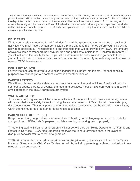TEGA takes harmful actions to other students and teachers very seriously. We therefore work on a three strike policy. Parents will be notified immediately and asked to pick up their student from school for the remainder of the day. After the two harmful behavior the student will be on a three day suspension from the program to ensure the safety of other students. If harmful behavior continues after returning from suspension the student will be dismissed from the program. TEGA Kids Superplex reserves the right to terminate care for the child for discipline problems at any time.

# FIELD TRIPS

Written permission is required for all field trips. You will be given advance notice and an outline of activities. We must have a written permission slip and any required money before your child will be allowed to participate. Transportation to and from field trips will be provided by TEGA. Parents are always welcome to transport their own children and participate in field trips. Children 18 months - 2 yrs will not leave the facility for field trips. All children must be potty trained to go on field trips. 3 years olds will need to provide their own car seats for transportation. 4year olds may use their own or use our TEGA booster seats.

# PARTY INVITATIONS

Party invitations can be given to your child's teacher to distribute into folders. For confidentiality purposes we cannot give out contact information for other families.

# PARENT LETTERS

We will send home monthly calendars containing our curriculum and activities. Emails will also be sent out to update parents of events, changes, and activities. Please make sure you have a current email address in the TEGA parent contact system.

## WATER ACTIVITIES

 In our summer program we will have water activities. 3 & 4 year olds will have a swimming lesson with a certified water safety instructor during the summer season. 2 Year olds will have water play days once a week. They may participate in other water activities such as the sprinkler. We will stay within the minimum required standards for ratios at all times.

# PARENT CODE OF CONDUCT

Keep in mind that young children are present in our building. Adult language is not appropriate for young children. TEGA Kids Superplex prohibits swearing or cursing on our property.

Threatening staff, children, or other parents will not be tolerated per Texas Department of Family and Protective Services. TEGA Kids Superplex reserves the right to terminate care in the event of disruptive behavior from a parent or a guardian.

TEGA Kids Superplex must follow certain rules on discipline and guidance as outlined in the Texas Minimum Standards for Child Care Centers. All adults, including parents/guardians, must follow these rules while on our property.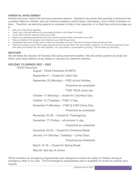# PARENTAL INVOLVEMENT

Parents are every child's first and most important teacher. Research has shown that parental involvement has a positive effect on children, and can enhance academic performance, self-esteem, and a child's motivation to learn. Therefore, we welcome parents to volunteer to help in the classroom or on field trips and encourage you to:

- Help your child attend regularly.
- Teach your child self-reliance by encouraging him/her to do things for himself.
- Confer often with the teachers about your child.
- Report any upsetting experiences that may help the teacher better understand your child.
- Take an interest in the program and whatever your child brings home.
- Understand that many things done in class are intangible and your child will not always bring something home.
- Take time to listen to your child's daily experiences and discuss them with real interest. However, do not become alarmed if your child does not mention his/ her daily activities. You may initiate a conversation by saying, "Tell me what you did today."

## WEATHER

We will follow the decision of Frenship ISD during inclement weather. We will contact parents via email and inform local news stations of any delays or closures for inclement weather.

## HOLIDAY CLOSINGS 2021 - 2022

TEGA Preschool:

August - TEGA Preschool STARTS

September 6 – Closed for Labor Day

September 20 (Monday) – FISD school Holiday,

Preschool as scheduled

FISD TEGA camp day

October 11 (Monday) – closed for Columbus Day

October 12 (Tuesday) – FISD ½ Day,

November 8 (Monday) – FISD & CISD Camp Day,

Preschool as scheduled

November 22-26 – Closed for Thanksgiving

December 17 (Friday) – all schools  $\frac{1}{2}$  day,

Preschool as scheduled

December 20-25 – Closed for Christmas Break

January 3-4 (Monday, Tuesday) – Camp Days,

Preschool as scheduled

March 14-18 – Closed for Spring Break

May 20- last day of school

TEGA maintains an emergency preparedness plan designed to ensure the safety of children during an emergency while in our care. The full emergency preparedness plan is available for review by parents upon request.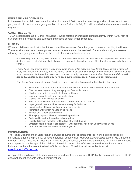## EMERGENCY PROCEDURES

In the event that a child needs medical attention, we will first contact a parent or guardian. If we cannot reach you, we will phone your emergency contact. If those 2 attempts fail, 911 will be called and ambulatory services requested.

## GANG-FREE ZONE

TEGA is designated as a "Gang-Free Zone". Gang-related or organized criminal activity within 1,000 feet of our program is prohibited and subject to increased penalty under Texas law.

## **ILLNESS**

When a child becomes ill at school, the child will be separated from the group to avoid spreading the illness. There must always be a current phone number where you can be reached. Parents should sign a release allowing emergency medical care in the event of a serious illness or injury.

For the safety of your child, if exposure to a communicable disease has occurred or is suspected, we reserve the right to require proof of diagnostic testing and a negative test result, or proof of treatment prior to re-admittance to school.

Please keep your child at home if they show signs of any of the following: sore throat, fever, earache, inflamed eyes, rash, ringworm, diarrhea, vomiting, runny nose with discoloration, cough and congestion if accompanied by fever, headache, discharge from eyes, ears, or nose, impetigo, or any communicable disease. A child should not be brought to school until they have been symptom free for 24 hours without medication.

The Texas Department of Human Services requires exclusion from care for the following illnesses:

- Fever until they have a normal temperature without any anti-fever medication for 24 hours
- Diarrhea/vomiting until they are symptom free for 24 hours
- Chicken pox until 6 days after last crop of blisters
- Common Cold/Flu until after the acute stage
- Giardia until after release by doctor
- Head lice/scabies until treatment has been underway for 24 hours
- Impetigo until treatment has been underway for 24 hours
- Infectious hepatitis until written release by physician
- Meningitis until written release by physician
- Mumps until 9 days after swelling
- Pink eye (conjunctivitis) until release by physician
- Poliomyelitis until written release by physician
- Rubella (German measles) until 5 days after rash begins
- Streptococcal (infections, scarlet fever) until treatment has been underway for 24 hrs
- Viral hepatitis until written release by physician

## IMMUNIZATIONS

The Texas Department of State Health Services requires that children enrolled in child-care facilities be immunized against: diphtheria, pertussis, tetanus, poliomyelitis, Haemophilus influenza type b (Hib), measles, mumps, rubella, hepatitis B, hepatitis A, invasive pneumococcal, and varicella diseases. Immunizations needs vary depending on the age of the child, and the minimum number of doses required for each vaccine is indicated on the schedule at the back of this handbook. More information can be found at www.ImmunizeTexas.com.

A copy of the child's complete immunization record must be on file with TEGA by the date of admission. TEGA does not accept students without immunizations.